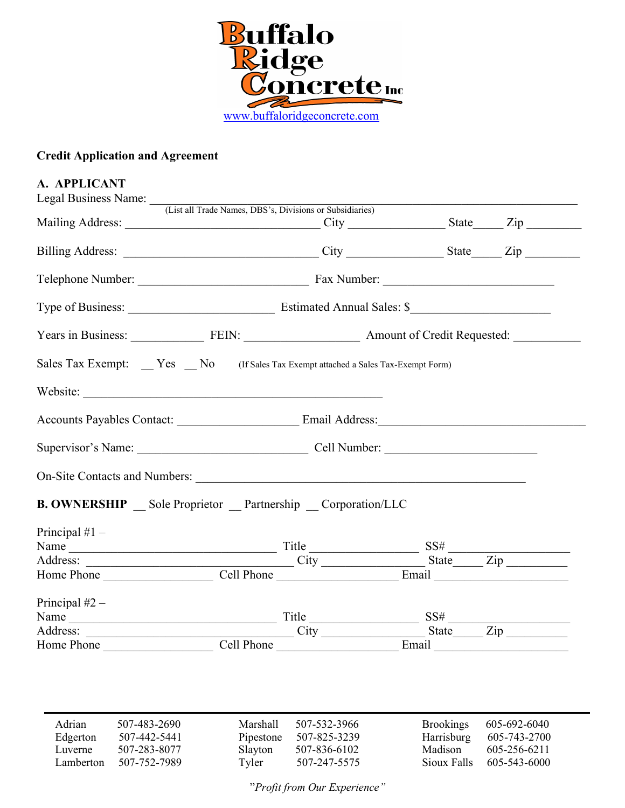

# Credit Application and Agreement

| A. APPLICANT                                                                                                                                                                                                                       |  |  |
|------------------------------------------------------------------------------------------------------------------------------------------------------------------------------------------------------------------------------------|--|--|
| Legal Business Name: (List all Trade Names, DBS's, Divisions or Subsidiaries)                                                                                                                                                      |  |  |
|                                                                                                                                                                                                                                    |  |  |
|                                                                                                                                                                                                                                    |  |  |
|                                                                                                                                                                                                                                    |  |  |
|                                                                                                                                                                                                                                    |  |  |
| Years in Business: FEIN: FEIN: Amount of Credit Requested: ______________________                                                                                                                                                  |  |  |
| Sales Tax Exempt: Yes No (If Sales Tax Exempt attached a Sales Tax-Exempt Form)                                                                                                                                                    |  |  |
| Website:                                                                                                                                                                                                                           |  |  |
|                                                                                                                                                                                                                                    |  |  |
| Supervisor's Name: Cell Number:                                                                                                                                                                                                    |  |  |
|                                                                                                                                                                                                                                    |  |  |
| <b>B. OWNERSHIP</b> Sole Proprietor Partnership Corporation/LLC                                                                                                                                                                    |  |  |
| Principal $#1 -$                                                                                                                                                                                                                   |  |  |
| Name $\frac{1}{\sqrt{1-\frac{1}{2}}\sinh\left(\frac{1}{2}\right)}$ Title $\frac{1}{\sinh\left(\frac{1}{2}\right)}$ SS#                                                                                                             |  |  |
|                                                                                                                                                                                                                                    |  |  |
| Home Phone Cell Phone Cell Phone Email                                                                                                                                                                                             |  |  |
| Principal $#2 -$                                                                                                                                                                                                                   |  |  |
| Name<br>Address: City SS#<br>Home Phone Cell Phone Cell Phone Email Email City Cell Phone Cell Phone Cell Phone Cell Phone Cell Phone Cell Phone Cell Phone Cell Phone Cell Phone Cell Phone Cell Phone Cell Phone Cell Phone Cell |  |  |
|                                                                                                                                                                                                                                    |  |  |
|                                                                                                                                                                                                                                    |  |  |

| Adrian    | 507-483-2690 | Marshall  | 507-532-3966 | <b>Brookings</b> | 605-692-6040 |
|-----------|--------------|-----------|--------------|------------------|--------------|
| Edgerton  | 507-442-5441 | Pipestone | 507-825-3239 | Harrisburg       | 605-743-2700 |
| Luverne   | 507-283-8077 | Slayton   | 507-836-6102 | Madison          | 605-256-6211 |
| Lamberton | 507-752-7989 | Tyler     | 507-247-5575 | Sioux Falls      | 605-543-6000 |

"Profit from Our Experience"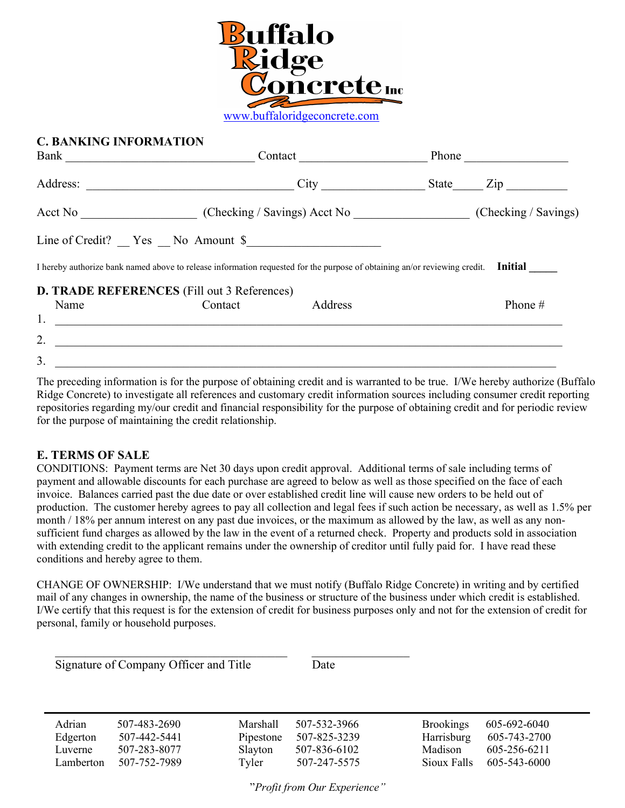

### C. BANKING INFORMATION

| Bank     |                                                                                                                           | Contact |       |                      |  |
|----------|---------------------------------------------------------------------------------------------------------------------------|---------|-------|----------------------|--|
| Address: |                                                                                                                           | City    | State | Zip                  |  |
|          |                                                                                                                           |         |       | (Checking / Savings) |  |
|          | $Line of Credit?$ $Yes$ $No$ Amount \$                                                                                    |         |       |                      |  |
|          | I hereby authorize bank named above to release information requested for the purpose of obtaining an/or reviewing credit. |         |       | <b>Initial</b>       |  |
|          | <b>D. TRADE REFERENCES</b> (Fill out 3 References)                                                                        |         |       |                      |  |
| Name     | Contact                                                                                                                   | Address |       | Phone #              |  |
| 1.       |                                                                                                                           |         |       |                      |  |
| 2.       |                                                                                                                           |         |       |                      |  |
| 3.       |                                                                                                                           |         |       |                      |  |

The preceding information is for the purpose of obtaining credit and is warranted to be true. I/We hereby authorize (Buffalo Ridge Concrete) to investigate all references and customary credit information sources including consumer credit reporting repositories regarding my/our credit and financial responsibility for the purpose of obtaining credit and for periodic review for the purpose of maintaining the credit relationship.

#### E. TERMS OF SALE

CONDITIONS: Payment terms are Net 30 days upon credit approval. Additional terms of sale including terms of payment and allowable discounts for each purchase are agreed to below as well as those specified on the face of each invoice. Balances carried past the due date or over established credit line will cause new orders to be held out of production. The customer hereby agrees to pay all collection and legal fees if such action be necessary, as well as 1.5% per month / 18% per annum interest on any past due invoices, or the maximum as allowed by the law, as well as any nonsufficient fund charges as allowed by the law in the event of a returned check. Property and products sold in association with extending credit to the applicant remains under the ownership of creditor until fully paid for. I have read these conditions and hereby agree to them.

CHANGE OF OWNERSHIP: I/We understand that we must notify (Buffalo Ridge Concrete) in writing and by certified mail of any changes in ownership, the name of the business or structure of the business under which credit is established. I/We certify that this request is for the extension of credit for business purposes only and not for the extension of credit for personal, family or household purposes.

Signature of Company Officer and Title Date

| Adrian    | 507-483-2690 | <b>Marshall</b> | 507-532-3966 | <b>Brookings</b> | 605-692-6040 |
|-----------|--------------|-----------------|--------------|------------------|--------------|
| Edgerton  | 507-442-5441 | Pipestone       | 507-825-3239 | Harrisburg       | 605-743-2700 |
| Luverne   | 507-283-8077 | Slayton         | 507-836-6102 | Madison          | 605-256-6211 |
| Lamberton | 507-752-7989 | Tyler           | 507-247-5575 | Sioux Falls      | 605-543-6000 |

"Profit from Our Experience"